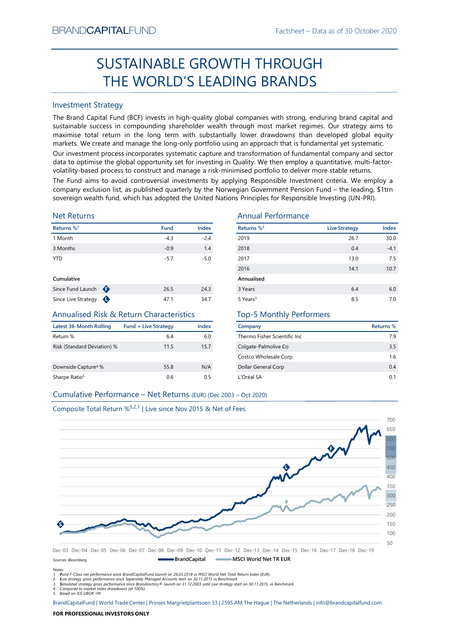# Factsheet – Data as of 30 October 2020<br> **ROUGH** SUSTAINABLE GROWTH THROUGH THE WORLD'S LEADING BRANDS

# Investment Strategy

From NDCAPTIALIFUND<br>
Fractsheet – Data as of 50 Uctober 2020<br>
SUSTAINABLE GROWTH THROUGH<br>
THE WORLD'S LEADING BRANDS<br>
Investment Strategy<br>
The Brand Captib Fund Index is in high-quality global companies with strong, endur SUSTAINABLE GROWTH THROUGH<br>
THE WORLD'S LEADING BRANDS<br>
Investment Strategy<br>
IThe Brand Gapital Fund (8CF) invests in high-quality global companies with strong, enduring brand capital and<br>
sustainable success in compoundi BRAND**CAPITAL**FUND<br>
SUSTAINABLE GROWTH THROUGH<br>
THE WORLD'S LEADING BRANDS<br>
Investment Strategy<br>
The Brand Capital Fund (BCF) invests in high-quality global companies with strong, enduring brand capital and<br>
sustainable su BRAND**CAPITAL**FUND<br>
Factsheet – Data as of 30 October 2020<br> **SUSTAINABLE GROWTH THROUGH**<br> **THE WORLD'S LEADING BRANDS**<br>
Investment Strategy<br>
The Brand Capital Fund (BCF) invests in high-quality global companies with strong BRAND**CAPITAL**FUND<br>
SUSTAINABLE GROWTH THROUGH<br>
THE WORLD'S LEADING BRANDS<br>
Investment Strategy<br>
Inte Brand Capital Fund (BCF) invests in high-quality global companies with strong, enduring brand capital and<br>
sustainable s EXANDCAPITALFUND<br>
Factsheet – Data as of 30 October 2020<br>
SUSTAINABLE GROWTH THROUGH<br>
THE WORLD'S LEADING BRANDS<br>
Investment Strategy<br>
Investment Strategy<br>
Investment Strategy<br>
The Brand Capital Fund (BCF) invests in high-BRAND**CAPITAL**FUND<br>
Factsheet – Data as of 30 October 2020<br>
SUSTAINABLE GROWTH THROUGH<br>
THE WORLD'S LEADING BRANDS<br>
Investment Strategy<br>
Investment Strategy<br>
Investment Strategy<br>
Investment Strategy<br>
and Captal fund (BCF) BRAND**CAPITAL**FUND<br>
Factsheet – Data as of 30 October 2020<br>
SUSTAINABLE GROWTH THROUGH<br>
THE WORLD'S LEADING BRANDS<br>
Investment Strategy<br>
The Brand Capital Fund (BCF) invests in high-quality global companies with strong, en BRANDCAPITALFUND<br>
SUSTAINABLE GROWTH THROUGH<br>
THE WORLD'S LEADING BRANDS<br>
Investment Strategy<br>
The Brand Capital Fund (BCF) invests in high-quality global companies with strong, enduring brand capital and<br>
sustainable succ BRANDCAPITALFUND<br>
SUSTAINABLE GROWTH THROUGH<br>
THE WORLD'S LEADING BRANDS<br>
Investment Strategy<br>
Investment Strategy<br>
Investment Strategy<br>
Investment Strategy<br>
Investment Strategy<br>
Altan Gaptial Fund (GCF) invests in high-qu **EXAMDCAPITALFUND**<br>
SUSTAINABLE GROWTH THROUGH<br>
THE WORLD'S LEADING BRANDS<br>
Investment Strategy<br>
The Brand Capital Fund (BCF) invests in high-quality global companies with strong, enduring brand capital and<br>
sustsismable BRAND**CAPITAL**FUND<br>
SUSTAINABLE GROWTH THROUGH<br>
THE WORLD'S LEADING BRANDDS<br>
Investment Strategy<br>
Investment Strategy<br>
Investment Strategy<br>
Investment Strategy<br>
Sustainable success in compounding shareholder wealth funoupl

# Net Returns

| Returns % <sup>1</sup> |   | <b>Fund</b> | <b>Index</b> |
|------------------------|---|-------------|--------------|
| 1 Month                |   | $-4.3$      | $-2.4$       |
| 3 Months               |   | $-0.9$      | 1.4          |
| <b>YTD</b>             |   | $-5.7$      | $-5.0$       |
| Cumulative             |   |             |              |
| Since Fund Launch      | ⊕ | 26.5        | 24.3         |

# Annualised Risk & Return Characteristics

| Latest 36-Month Rolling         | <b>Fund + Live Strategy</b> | Index |
|---------------------------------|-----------------------------|-------|
| Return %                        | 6.4                         | 6.0   |
| Risk (Standard Deviation) %     | 11.5                        | 15.7  |
| Downside Capture <sup>4</sup> % | 55.8                        | N/A   |
| Sharpe Ratio <sup>5</sup>       | 0.6                         | 0.5   |

# Annual Performance

| BRANU <b>UAPHAL</b> FUND                                                      |                             |             |                                 | Factsheet – Data as of 30 October 2020                                                                                                                                                                                                                                                                                                                                                                                                                                                                                                                                                                                                                                                                                                                                                                |           |
|-------------------------------------------------------------------------------|-----------------------------|-------------|---------------------------------|-------------------------------------------------------------------------------------------------------------------------------------------------------------------------------------------------------------------------------------------------------------------------------------------------------------------------------------------------------------------------------------------------------------------------------------------------------------------------------------------------------------------------------------------------------------------------------------------------------------------------------------------------------------------------------------------------------------------------------------------------------------------------------------------------------|-----------|
|                                                                               |                             |             | SUSTAINABLE GROWTH THROUGH      |                                                                                                                                                                                                                                                                                                                                                                                                                                                                                                                                                                                                                                                                                                                                                                                                       |           |
|                                                                               |                             |             | THE WORLD'S LEADING BRANDS      |                                                                                                                                                                                                                                                                                                                                                                                                                                                                                                                                                                                                                                                                                                                                                                                                       |           |
| <b>Investment Strategy</b>                                                    |                             |             |                                 |                                                                                                                                                                                                                                                                                                                                                                                                                                                                                                                                                                                                                                                                                                                                                                                                       |           |
|                                                                               |                             |             |                                 | The Brand Capital Fund (BCF) invests in high-quality global companies with strong, enduring brand capital and<br>sustainable success in compounding shareholder wealth through most market regimes. Our strategy aims to<br>maximise total return in the long term with substantially lower drawdowns than developed global equity<br>markets. We create and manage the long-only portfolio using an approach that is fundamental yet systematic.<br>Our investment process incorporates systematic capture and transformation of fundamental company and sector<br>data to optimise the global opportunity set for investing in Quality. We then employ a quantitative, multi-factor-<br>volatility-based process to construct and manage a risk-minimised portfolio to deliver more stable returns. |           |
|                                                                               |                             |             |                                 | The Fund aims to avoid controversial investments by applying Responsible Investment criteria. We employ a                                                                                                                                                                                                                                                                                                                                                                                                                                                                                                                                                                                                                                                                                             |           |
|                                                                               |                             |             |                                 | company exclusion list, as published quarterly by the Norwegian Government Pension Fund - the leading, \$1trn<br>sovereign wealth fund, which has adopted the United Nations Principles for Responsible Investing (UN-PRI).                                                                                                                                                                                                                                                                                                                                                                                                                                                                                                                                                                           |           |
| <b>Net Returns</b>                                                            |                             |             |                                 | <b>Annual Performance</b>                                                                                                                                                                                                                                                                                                                                                                                                                                                                                                                                                                                                                                                                                                                                                                             |           |
| Returns % <sup>1</sup>                                                        |                             | <b>Fund</b> | Returns % <sup>2</sup><br>Index | <b>Live Strategy</b>                                                                                                                                                                                                                                                                                                                                                                                                                                                                                                                                                                                                                                                                                                                                                                                  | Index     |
| 1 Month                                                                       |                             | $-4.3$      | $-2.4$<br>2019                  | 26.7                                                                                                                                                                                                                                                                                                                                                                                                                                                                                                                                                                                                                                                                                                                                                                                                  | 30.0      |
| 3 Months                                                                      |                             | $-0.9$      | 2018<br>1.4                     | 0.4                                                                                                                                                                                                                                                                                                                                                                                                                                                                                                                                                                                                                                                                                                                                                                                                   | $-4.1$    |
| <b>YTD</b>                                                                    |                             | $-5.7$      | 2017<br>$-5.0$                  | 13.0                                                                                                                                                                                                                                                                                                                                                                                                                                                                                                                                                                                                                                                                                                                                                                                                  | 7.5       |
|                                                                               |                             |             | 2016                            | 14.1                                                                                                                                                                                                                                                                                                                                                                                                                                                                                                                                                                                                                                                                                                                                                                                                  | 10.7      |
| Cumulative                                                                    |                             |             | Annualised                      |                                                                                                                                                                                                                                                                                                                                                                                                                                                                                                                                                                                                                                                                                                                                                                                                       |           |
| Since Fund Launch $\bigoplus$                                                 |                             | 26.5        | 24.3<br>3 Years                 | 6.4                                                                                                                                                                                                                                                                                                                                                                                                                                                                                                                                                                                                                                                                                                                                                                                                   | $6.0\,$   |
| Since Live Strategy $\bigoplus$                                               |                             | 47.1        | 34.7<br>5 Years <sup>3</sup>    | 8.5                                                                                                                                                                                                                                                                                                                                                                                                                                                                                                                                                                                                                                                                                                                                                                                                   | 7.0       |
| <b>Annualised Risk &amp; Return Characteristics</b>                           |                             |             |                                 | <b>Top-5 Monthly Performers</b>                                                                                                                                                                                                                                                                                                                                                                                                                                                                                                                                                                                                                                                                                                                                                                       |           |
| <b>Latest 36-Month Rolling</b>                                                | <b>Fund + Live Strategy</b> |             | Index<br>Company                |                                                                                                                                                                                                                                                                                                                                                                                                                                                                                                                                                                                                                                                                                                                                                                                                       | Returns % |
| Return %                                                                      |                             | 6.4         | 6.0                             | Thermo Fisher Scientific Inc                                                                                                                                                                                                                                                                                                                                                                                                                                                                                                                                                                                                                                                                                                                                                                          | 7.9       |
| Risk (Standard Deviation) %                                                   |                             | 11.5        | 15.7<br>Colgate-Palmolive Co    |                                                                                                                                                                                                                                                                                                                                                                                                                                                                                                                                                                                                                                                                                                                                                                                                       | 3.5       |
|                                                                               |                             |             |                                 | Costco Wholesale Corp                                                                                                                                                                                                                                                                                                                                                                                                                                                                                                                                                                                                                                                                                                                                                                                 | 1.6       |
| Downside Capture <sup>4</sup> %                                               |                             | 55.8        | N/A<br>Dollar General Corp      |                                                                                                                                                                                                                                                                                                                                                                                                                                                                                                                                                                                                                                                                                                                                                                                                       | 0.4       |
| Sharpe Ratio <sup>5</sup>                                                     |                             | 0.6         | L'Oréal SA<br>0.5               |                                                                                                                                                                                                                                                                                                                                                                                                                                                                                                                                                                                                                                                                                                                                                                                                       | 0.1       |
| Cumulative Performance - Net Returns (EUR) (Dec 2003 - Oct 2020)              |                             |             |                                 |                                                                                                                                                                                                                                                                                                                                                                                                                                                                                                                                                                                                                                                                                                                                                                                                       |           |
|                                                                               |                             |             |                                 |                                                                                                                                                                                                                                                                                                                                                                                                                                                                                                                                                                                                                                                                                                                                                                                                       |           |
| Composite Total Return % <sup>3,2,1</sup>   Live since Nov 2015 & Net of Fees |                             |             |                                 |                                                                                                                                                                                                                                                                                                                                                                                                                                                                                                                                                                                                                                                                                                                                                                                                       |           |
|                                                                               |                             |             |                                 |                                                                                                                                                                                                                                                                                                                                                                                                                                                                                                                                                                                                                                                                                                                                                                                                       | 700       |
|                                                                               |                             |             |                                 |                                                                                                                                                                                                                                                                                                                                                                                                                                                                                                                                                                                                                                                                                                                                                                                                       |           |
|                                                                               |                             |             |                                 |                                                                                                                                                                                                                                                                                                                                                                                                                                                                                                                                                                                                                                                                                                                                                                                                       |           |

# Top-5 Monthly Performers

| Company                       | Returns % |
|-------------------------------|-----------|
| Thermo Fisher Scientific Inc. | 79        |
| Colgate-Palmolive Co          | 3.5       |
| Costco Wholesale Corp         | 16        |
| Dollar General Corp           | 0.4       |
| L'Oréal SA                    | 01        |



Notes: 1. Fund F-Class net performance since BrandCapitalFund launch on 26.03.2018 vs MSCI World Net Total Return Index (EUR).

2. Live strategy gross performance since Separately Managed Accounts start on 30.11.2015 vs Benchmark.<br>3. Simulated strategy gross performance since Brandirectory® launch on 31.12.2003 until Live strategy start on 30.11.20

5. Based on ICE LIBOR 1M.